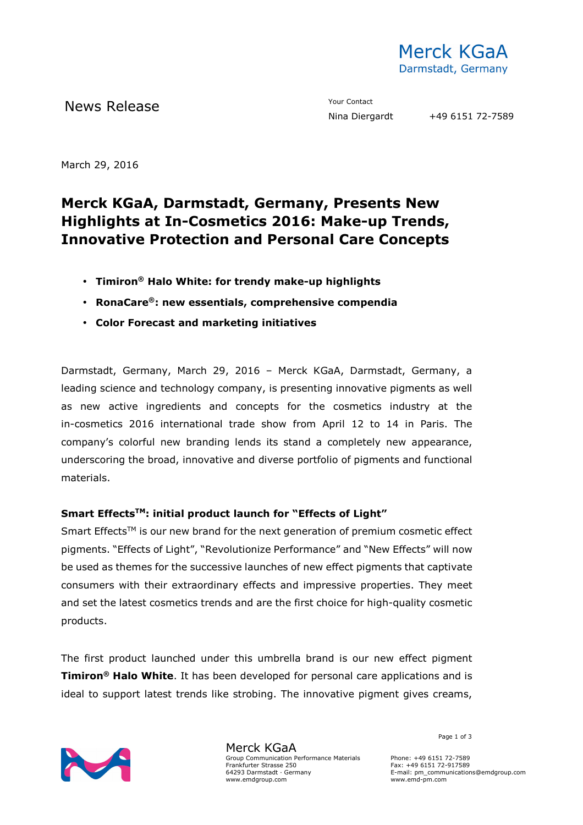

News Release The Contact Terms and the Vour Contact Terms and Terms and Terms and Terms and Terms and Terms and Terms and Terms and Terms and Terms and Terms and Terms and Terms and Terms and Terms and Terms and Terms and

March 29, 2016

# **Merck KGaA, Darmstadt, Germany, Presents New Highlights at In-Cosmetics 2016: Make-up Trends, Innovative Protection and Personal Care Concepts**

- **Timiron® Halo White: for trendy make-up highlights**
- **RonaCare®: new essentials, comprehensive compendia**
- **Color Forecast and marketing initiatives**

Darmstadt, Germany, March 29, 2016 – Merck KGaA, Darmstadt, Germany, a leading science and technology company, is presenting innovative pigments as well as new active ingredients and concepts for the cosmetics industry at the in-cosmetics 2016 international trade show from April 12 to 14 in Paris. The company's colorful new branding lends its stand a completely new appearance, underscoring the broad, innovative and diverse portfolio of pigments and functional materials.

### **Smart EffectsTM: initial product launch for "Effects of Light"**

Smart Effects<sup>TM</sup> is our new brand for the next generation of premium cosmetic effect pigments. "Effects of Light", "Revolutionize Performance" and "New Effects" will now be used as themes for the successive launches of new effect pigments that captivate consumers with their extraordinary effects and impressive properties. They meet and set the latest cosmetics trends and are the first choice for high-quality cosmetic products.

The first product launched under this umbrella brand is our new effect pigment **Timiron® Halo White**. It has been developed for personal care applications and is ideal to support latest trends like strobing. The innovative pigment gives creams,



Merck KGaA Group Communication Performance Materials Frankfurter Strasse 250 64293 Darmstadt · Germany www.emdgroup.com

Page 1 of 3

Phone: +49 6151 72-7589 Fax: +49 6151 72-917589 E-mail: pm\_communications@emdgroup.com www.emd-pm.com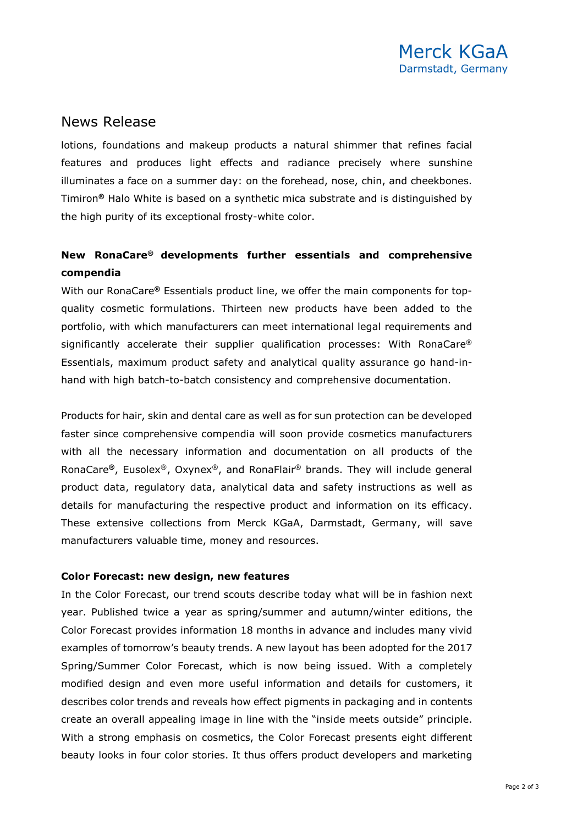## News Release

lotions, foundations and makeup products a natural shimmer that refines facial features and produces light effects and radiance precisely where sunshine illuminates a face on a summer day: on the forehead, nose, chin, and cheekbones. Timiron**®** Halo White is based on a synthetic mica substrate and is distinguished by the high purity of its exceptional frosty-white color.

### **New RonaCare® developments further essentials and comprehensive compendia**

With our RonaCare**®** Essentials product line, we offer the main components for topquality cosmetic formulations. Thirteen new products have been added to the portfolio, with which manufacturers can meet international legal requirements and significantly accelerate their supplier qualification processes: With RonaCare® Essentials, maximum product safety and analytical quality assurance go hand-inhand with high batch-to-batch consistency and comprehensive documentation.

Products for hair, skin and dental care as well as for sun protection can be developed faster since comprehensive compendia will soon provide cosmetics manufacturers with all the necessary information and documentation on all products of the RonaCare**®**, Eusolex®, Oxynex®, and RonaFlair® brands. They will include general product data, regulatory data, analytical data and safety instructions as well as details for manufacturing the respective product and information on its efficacy. These extensive collections from Merck KGaA, Darmstadt, Germany, will save manufacturers valuable time, money and resources.

### **Color Forecast: new design, new features**

In the Color Forecast, our trend scouts describe today what will be in fashion next year. Published twice a year as spring/summer and autumn/winter editions, the Color Forecast provides information 18 months in advance and includes many vivid examples of tomorrow's beauty trends. A new layout has been adopted for the 2017 Spring/Summer Color Forecast, which is now being issued. With a completely modified design and even more useful information and details for customers, it describes color trends and reveals how effect pigments in packaging and in contents create an overall appealing image in line with the "inside meets outside" principle. With a strong emphasis on cosmetics, the Color Forecast presents eight different beauty looks in four color stories. It thus offers product developers and marketing